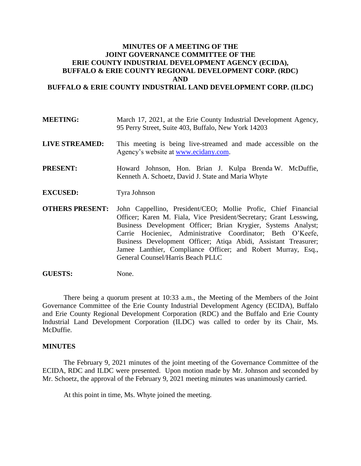# **MINUTES OF A MEETING OF THE JOINT GOVERNANCE COMMITTEE OF THE ERIE COUNTY INDUSTRIAL DEVELOPMENT AGENCY (ECIDA), BUFFALO & ERIE COUNTY REGIONAL DEVELOPMENT CORP. (RDC) AND BUFFALO & ERIE COUNTY INDUSTRIAL LAND DEVELOPMENT CORP. (ILDC)**

- **MEETING:** March 17, 2021, at the Erie County Industrial Development Agency, 95 Perry Street, Suite 403, Buffalo, New York 14203
- **LIVE STREAMED:** This meeting is being live-streamed and made accessible on the Agency's website at [www.ecidany.com.](http://www.ecidany.com/)
- **PRESENT:** Howard Johnson, Hon. Brian J. Kulpa Brenda W. McDuffie, Kenneth A. Schoetz, David J. State and Maria Whyte
- **EXCUSED:** Tyra Johnson
- **OTHERS PRESENT:** John Cappellino, President/CEO; Mollie Profic, Chief Financial Officer; Karen M. Fiala, Vice President/Secretary; Grant Lesswing, Business Development Officer; Brian Krygier, Systems Analyst; Carrie Hocieniec, Administrative Coordinator; Beth O'Keefe, Business Development Officer; Atiqa Abidi, Assistant Treasurer; Jamee Lanthier, Compliance Officer; and Robert Murray, Esq., General Counsel/Harris Beach PLLC
- **GUESTS:** None.

There being a quorum present at 10:33 a.m., the Meeting of the Members of the Joint Governance Committee of the Erie County Industrial Development Agency (ECIDA), Buffalo and Erie County Regional Development Corporation (RDC) and the Buffalo and Erie County Industrial Land Development Corporation (ILDC) was called to order by its Chair, Ms. McDuffie.

#### **MINUTES**

The February 9, 2021 minutes of the joint meeting of the Governance Committee of the ECIDA, RDC and ILDC were presented. Upon motion made by Mr. Johnson and seconded by Mr. Schoetz, the approval of the February 9, 2021 meeting minutes was unanimously carried.

At this point in time, Ms. Whyte joined the meeting.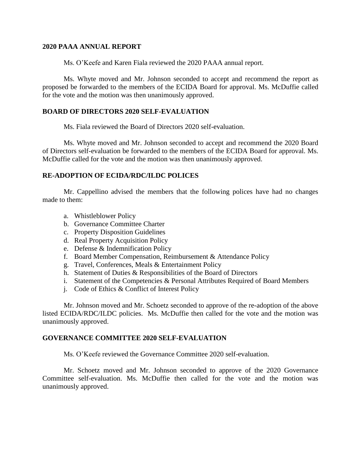### **2020 PAAA ANNUAL REPORT**

Ms. O'Keefe and Karen Fiala reviewed the 2020 PAAA annual report.

Ms. Whyte moved and Mr. Johnson seconded to accept and recommend the report as proposed be forwarded to the members of the ECIDA Board for approval. Ms. McDuffie called for the vote and the motion was then unanimously approved.

## **BOARD OF DIRECTORS 2020 SELF-EVALUATION**

Ms. Fiala reviewed the Board of Directors 2020 self-evaluation.

Ms. Whyte moved and Mr. Johnson seconded to accept and recommend the 2020 Board of Directors self-evaluation be forwarded to the members of the ECIDA Board for approval. Ms. McDuffie called for the vote and the motion was then unanimously approved.

## **RE-ADOPTION OF ECIDA/RDC/ILDC POLICES**

Mr. Cappellino advised the members that the following polices have had no changes made to them:

- a. Whistleblower Policy
- b. Governance Committee Charter
- c. Property Disposition Guidelines
- d. Real Property Acquisition Policy
- e. Defense & Indemnification Policy
- f. Board Member Compensation, Reimbursement & Attendance Policy
- g. Travel, Conferences, Meals & Entertainment Policy
- h. Statement of Duties & Responsibilities of the Board of Directors
- i. Statement of the Competencies & Personal Attributes Required of Board Members
- j. Code of Ethics & Conflict of Interest Policy

Mr. Johnson moved and Mr. Schoetz seconded to approve of the re-adoption of the above listed ECIDA/RDC/ILDC policies. Ms. McDuffie then called for the vote and the motion was unanimously approved.

## **GOVERNANCE COMMITTEE 2020 SELF-EVALUATION**

Ms. O'Keefe reviewed the Governance Committee 2020 self-evaluation.

Mr. Schoetz moved and Mr. Johnson seconded to approve of the 2020 Governance Committee self-evaluation. Ms. McDuffie then called for the vote and the motion was unanimously approved.